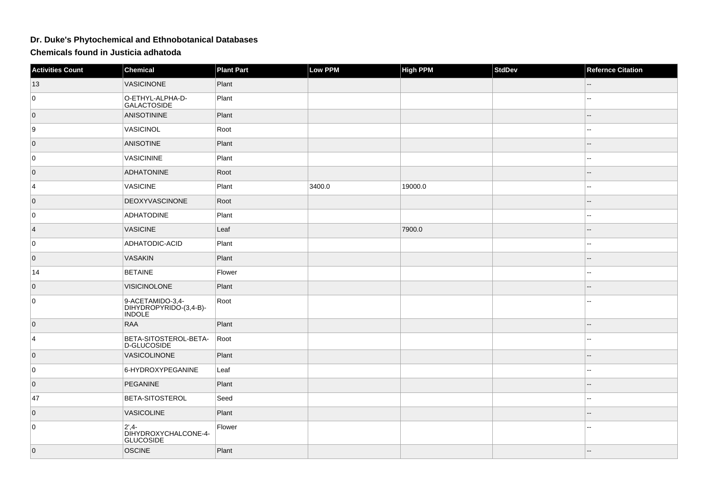## **Dr. Duke's Phytochemical and Ethnobotanical Databases**

**Chemicals found in Justicia adhatoda**

| <b>Activities Count</b> | Chemical                                                    | <b>Plant Part</b> | Low PPM | <b>High PPM</b> | <b>StdDev</b> | <b>Refernce Citation</b> |
|-------------------------|-------------------------------------------------------------|-------------------|---------|-----------------|---------------|--------------------------|
| 13                      | <b>VASICINONE</b>                                           | Plant             |         |                 |               |                          |
| 0                       | O-ETHYL-ALPHA-D-<br><b>GALACTOSIDE</b>                      | Plant             |         |                 |               |                          |
| $\overline{0}$          | ANISOTININE                                                 | Plant             |         |                 |               |                          |
| 9                       | VASICINOL                                                   | Root              |         |                 |               |                          |
| $\overline{0}$          | <b>ANISOTINE</b>                                            | Plant             |         |                 |               |                          |
| 0                       | <b>VASICININE</b>                                           | Plant             |         |                 |               |                          |
| $\overline{0}$          | <b>ADHATONINE</b>                                           | Root              |         |                 |               |                          |
| 4                       | <b>VASICINE</b>                                             | Plant             | 3400.0  | 19000.0         |               |                          |
| $\overline{0}$          | DEOXYVASCINONE                                              | Root              |         |                 |               |                          |
| 0                       | ADHATODINE                                                  | Plant             |         |                 |               |                          |
| $\vert 4 \vert$         | <b>VASICINE</b>                                             | Leaf              |         | 7900.0          |               |                          |
| 0                       | ADHATODIC-ACID                                              | Plant             |         |                 |               | $\sim$                   |
| $\overline{0}$          | <b>VASAKIN</b>                                              | Plant             |         |                 |               |                          |
| 14                      | <b>BETAINE</b>                                              | Flower            |         |                 |               | --                       |
| 0                       | <b>VISICINOLONE</b>                                         | Plant             |         |                 |               |                          |
| 0                       | 9-ACETAMIDO-3,4-<br>DIHYDROPYRIDO-(3,4-B)-<br><b>INDOLE</b> | Root              |         |                 |               |                          |
| $\overline{0}$          | RAA                                                         | Plant             |         |                 |               |                          |
| 4                       | BETA-SITOSTEROL-BETA-<br>D-GLUCOSIDE                        | Root              |         |                 |               | --                       |
| $\overline{0}$          | <b>VASICOLINONE</b>                                         | Plant             |         |                 |               |                          |
| 0                       | 6-HYDROXYPEGANINE                                           | Leaf              |         |                 |               |                          |
| $\overline{0}$          | PEGANINE                                                    | Plant             |         |                 |               |                          |
| 47                      | <b>BETA-SITOSTEROL</b>                                      | Seed              |         |                 |               | --                       |
| $\overline{0}$          | VASICOLINE                                                  | Plant             |         |                 |               |                          |
| 0                       | $2,4-$<br>DIHYDROXYCHALCONE-4-<br><b>GLUCOSIDE</b>          | Flower            |         |                 |               |                          |
| $\overline{0}$          | OSCINE                                                      | Plant             |         |                 |               |                          |